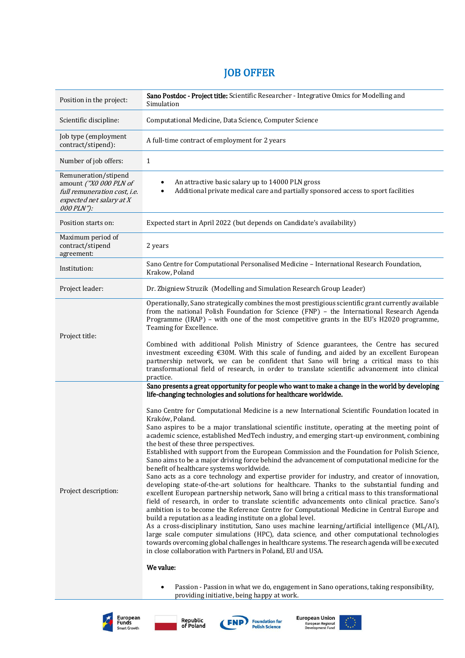## JOB OFFER

| Position in the project:                                                                                                 | Sano Postdoc - Project title: Scientific Researcher - Integrative Omics for Modelling and<br>Simulation                                                                                                                                                                                                                                                                                                                                                                                                                                                                                                                                                                                                                                                                                                                                                                                                                                                                                                                                                                                                                                                                                                                                                                                                                                                                                                                                                                                                                                                                                                                                                                                                                                          |
|--------------------------------------------------------------------------------------------------------------------------|--------------------------------------------------------------------------------------------------------------------------------------------------------------------------------------------------------------------------------------------------------------------------------------------------------------------------------------------------------------------------------------------------------------------------------------------------------------------------------------------------------------------------------------------------------------------------------------------------------------------------------------------------------------------------------------------------------------------------------------------------------------------------------------------------------------------------------------------------------------------------------------------------------------------------------------------------------------------------------------------------------------------------------------------------------------------------------------------------------------------------------------------------------------------------------------------------------------------------------------------------------------------------------------------------------------------------------------------------------------------------------------------------------------------------------------------------------------------------------------------------------------------------------------------------------------------------------------------------------------------------------------------------------------------------------------------------------------------------------------------------|
| Scientific discipline:                                                                                                   | Computational Medicine, Data Science, Computer Science                                                                                                                                                                                                                                                                                                                                                                                                                                                                                                                                                                                                                                                                                                                                                                                                                                                                                                                                                                                                                                                                                                                                                                                                                                                                                                                                                                                                                                                                                                                                                                                                                                                                                           |
| Job type (employment<br>contract/stipend):                                                                               | A full-time contract of employment for 2 years                                                                                                                                                                                                                                                                                                                                                                                                                                                                                                                                                                                                                                                                                                                                                                                                                                                                                                                                                                                                                                                                                                                                                                                                                                                                                                                                                                                                                                                                                                                                                                                                                                                                                                   |
| Number of job offers:                                                                                                    | 1                                                                                                                                                                                                                                                                                                                                                                                                                                                                                                                                                                                                                                                                                                                                                                                                                                                                                                                                                                                                                                                                                                                                                                                                                                                                                                                                                                                                                                                                                                                                                                                                                                                                                                                                                |
| Remuneration/stipend<br>amount ("X0 000 PLN of<br>full remuneration cost, i.e.<br>expected net salary at X<br>000 PLN"): | An attractive basic salary up to 14000 PLN gross<br>Additional private medical care and partially sponsored access to sport facilities                                                                                                                                                                                                                                                                                                                                                                                                                                                                                                                                                                                                                                                                                                                                                                                                                                                                                                                                                                                                                                                                                                                                                                                                                                                                                                                                                                                                                                                                                                                                                                                                           |
| Position starts on:                                                                                                      | Expected start in April 2022 (but depends on Candidate's availability)                                                                                                                                                                                                                                                                                                                                                                                                                                                                                                                                                                                                                                                                                                                                                                                                                                                                                                                                                                                                                                                                                                                                                                                                                                                                                                                                                                                                                                                                                                                                                                                                                                                                           |
| Maximum period of<br>contract/stipend<br>agreement:                                                                      | 2 years                                                                                                                                                                                                                                                                                                                                                                                                                                                                                                                                                                                                                                                                                                                                                                                                                                                                                                                                                                                                                                                                                                                                                                                                                                                                                                                                                                                                                                                                                                                                                                                                                                                                                                                                          |
| Institution:                                                                                                             | Sano Centre for Computational Personalised Medicine - International Research Foundation,<br>Krakow, Poland                                                                                                                                                                                                                                                                                                                                                                                                                                                                                                                                                                                                                                                                                                                                                                                                                                                                                                                                                                                                                                                                                                                                                                                                                                                                                                                                                                                                                                                                                                                                                                                                                                       |
| Project leader:                                                                                                          | Dr. Zbigniew Struzik (Modelling and Simulation Research Group Leader)                                                                                                                                                                                                                                                                                                                                                                                                                                                                                                                                                                                                                                                                                                                                                                                                                                                                                                                                                                                                                                                                                                                                                                                                                                                                                                                                                                                                                                                                                                                                                                                                                                                                            |
| Project title:                                                                                                           | Operationally, Sano strategically combines the most prestigious scientific grant currently available<br>from the national Polish Foundation for Science (FNP) - the International Research Agenda<br>Programme (IRAP) - with one of the most competitive grants in the EU's H2020 programme,<br>Teaming for Excellence.<br>Combined with additional Polish Ministry of Science guarantees, the Centre has secured<br>investment exceeding $\epsilon$ 30M. With this scale of funding, and aided by an excellent European<br>partnership network, we can be confident that Sano will bring a critical mass to this<br>transformational field of research, in order to translate scientific advancement into clinical<br>practice.                                                                                                                                                                                                                                                                                                                                                                                                                                                                                                                                                                                                                                                                                                                                                                                                                                                                                                                                                                                                                 |
| Project description:                                                                                                     | Sano presents a great opportunity for people who want to make a change in the world by developing<br>life-changing technologies and solutions for healthcare worldwide.<br>Sano Centre for Computational Medicine is a new International Scientific Foundation located in<br>Kraków, Poland.<br>Sano aspires to be a major translational scientific institute, operating at the meeting point of<br>academic science, established MedTech industry, and emerging start-up environment, combining<br>the best of these three perspectives.<br>Established with support from the European Commission and the Foundation for Polish Science,<br>Sano aims to be a major driving force behind the advancement of computational medicine for the<br>benefit of healthcare systems worldwide.<br>Sano acts as a core technology and expertise provider for industry, and creator of innovation,<br>developing state-of-the-art solutions for healthcare. Thanks to the substantial funding and<br>excellent European partnership network, Sano will bring a critical mass to this transformational<br>field of research, in order to translate scientific advancements onto clinical practice. Sano's<br>ambition is to become the Reference Centre for Computational Medicine in Central Europe and<br>build a reputation as a leading institute on a global level.<br>As a cross-disciplinary institution, Sano uses machine learning/artificial intelligence (ML/AI),<br>large scale computer simulations (HPC), data science, and other computational technologies<br>towards overcoming global challenges in healthcare systems. The research agenda will be executed<br>in close collaboration with Partners in Poland, EU and USA.<br>We value: |
|                                                                                                                          | Passion - Passion in what we do, engagement in Sano operations, taking responsibility,<br>$\bullet$                                                                                                                                                                                                                                                                                                                                                                                                                                                                                                                                                                                                                                                                                                                                                                                                                                                                                                                                                                                                                                                                                                                                                                                                                                                                                                                                                                                                                                                                                                                                                                                                                                              |



Republic<br>of Poland



providing initiative, being happy at work.

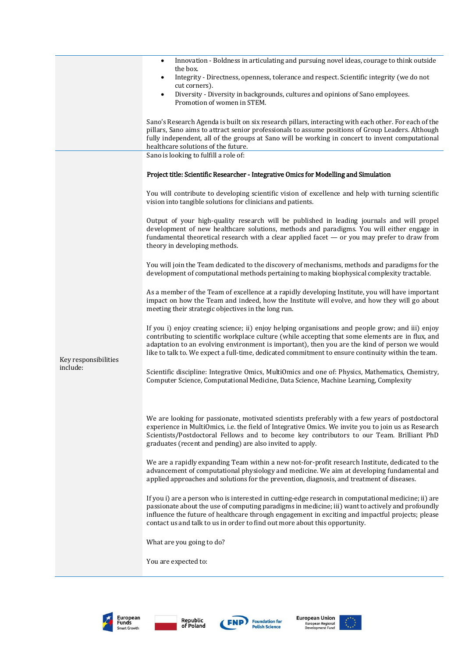|                                  | Innovation - Boldness in articulating and pursuing novel ideas, courage to think outside<br>$\bullet$<br>the box.<br>Integrity - Directness, openness, tolerance and respect. Scientific integrity (we do not<br>$\bullet$<br>cut corners).                                                                                                                                                                   |
|----------------------------------|---------------------------------------------------------------------------------------------------------------------------------------------------------------------------------------------------------------------------------------------------------------------------------------------------------------------------------------------------------------------------------------------------------------|
|                                  | Diversity - Diversity in backgrounds, cultures and opinions of Sano employees.<br>$\bullet$<br>Promotion of women in STEM.                                                                                                                                                                                                                                                                                    |
|                                  | Sano's Research Agenda is built on six research pillars, interacting with each other. For each of the<br>pillars, Sano aims to attract senior professionals to assume positions of Group Leaders. Although<br>fully independent, all of the groups at Sano will be working in concert to invent computational<br>healthcare solutions of the future.                                                          |
|                                  | Sano is looking to fulfill a role of:                                                                                                                                                                                                                                                                                                                                                                         |
|                                  | Project title: Scientific Researcher - Integrative Omics for Modelling and Simulation                                                                                                                                                                                                                                                                                                                         |
| Key responsibilities<br>include: | You will contribute to developing scientific vision of excellence and help with turning scientific<br>vision into tangible solutions for clinicians and patients.                                                                                                                                                                                                                                             |
|                                  | Output of your high-quality research will be published in leading journals and will propel<br>development of new healthcare solutions, methods and paradigms. You will either engage in<br>fundamental theoretical research with a clear applied facet $-$ or you may prefer to draw from<br>theory in developing methods.                                                                                    |
|                                  | You will join the Team dedicated to the discovery of mechanisms, methods and paradigms for the<br>development of computational methods pertaining to making biophysical complexity tractable.                                                                                                                                                                                                                 |
|                                  | As a member of the Team of excellence at a rapidly developing Institute, you will have important<br>impact on how the Team and indeed, how the Institute will evolve, and how they will go about<br>meeting their strategic objectives in the long run.                                                                                                                                                       |
|                                  | If you i) enjoy creating science; ii) enjoy helping organisations and people grow; and iii) enjoy<br>contributing to scientific workplace culture (while accepting that some elements are in flux, and<br>adaptation to an evolving environment is important), then you are the kind of person we would<br>like to talk to. We expect a full-time, dedicated commitment to ensure continuity within the team. |
|                                  | Scientific discipline: Integrative Omics, MultiOmics and one of: Physics, Mathematics, Chemistry,<br>Computer Science, Computational Medicine, Data Science, Machine Learning, Complexity                                                                                                                                                                                                                     |
|                                  | We are looking for passionate, motivated scientists preferably with a few years of postdoctoral<br>experience in MultiOmics, i.e. the field of Integrative Omics. We invite you to join us as Research<br>Scientists/Postdoctoral Fellows and to become key contributors to our Team. Brilliant PhD<br>graduates (recent and pending) are also invited to apply.                                              |
|                                  | We are a rapidly expanding Team within a new not-for-profit research Institute, dedicated to the<br>advancement of computational physiology and medicine. We aim at developing fundamental and<br>applied approaches and solutions for the prevention, diagnosis, and treatment of diseases.                                                                                                                  |
|                                  | If you i) are a person who is interested in cutting-edge research in computational medicine; ii) are<br>passionate about the use of computing paradigms in medicine; iii) want to actively and profoundly<br>influence the future of healthcare through engagement in exciting and impactful projects; please<br>contact us and talk to us in order to find out more about this opportunity.                  |
|                                  | What are you going to do?                                                                                                                                                                                                                                                                                                                                                                                     |
|                                  | You are expected to:                                                                                                                                                                                                                                                                                                                                                                                          |







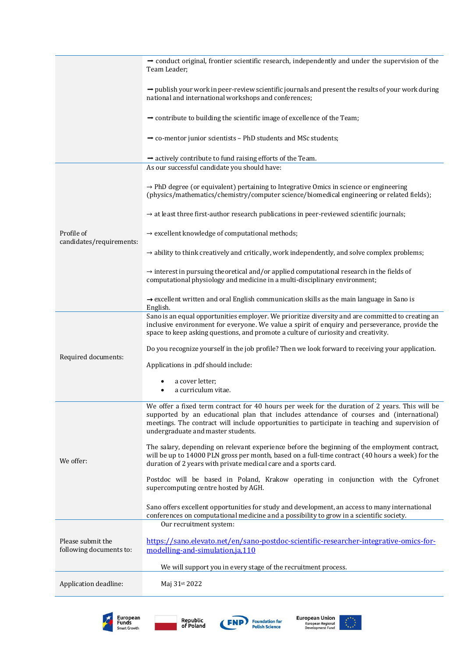|                                              | $\rightarrow$ conduct original, frontier scientific research, independently and under the supervision of the<br>Team Leader;                                                                                                                                                                                                        |
|----------------------------------------------|-------------------------------------------------------------------------------------------------------------------------------------------------------------------------------------------------------------------------------------------------------------------------------------------------------------------------------------|
|                                              | $\rightarrow$ publish your work in peer-review scientific journals and present the results of your work during<br>national and international workshops and conferences;                                                                                                                                                             |
|                                              | $\rightarrow$ contribute to building the scientific image of excellence of the Team;                                                                                                                                                                                                                                                |
|                                              | $\rightarrow$ co-mentor junior scientists - PhD students and MSc students;                                                                                                                                                                                                                                                          |
|                                              | $\rightarrow$ actively contribute to fund raising efforts of the Team.                                                                                                                                                                                                                                                              |
| Profile of<br>candidates/requirements:       | As our successful candidate you should have:                                                                                                                                                                                                                                                                                        |
|                                              | $\rightarrow$ PhD degree (or equivalent) pertaining to Integrative Omics in science or engineering<br>(physics/mathematics/chemistry/computer science/biomedical engineering or related fields);                                                                                                                                    |
|                                              | $\rightarrow$ at least three first-author research publications in peer-reviewed scientific journals;                                                                                                                                                                                                                               |
|                                              | $\rightarrow$ excellent knowledge of computational methods;                                                                                                                                                                                                                                                                         |
|                                              | $\rightarrow$ ability to think creatively and critically, work independently, and solve complex problems;                                                                                                                                                                                                                           |
|                                              | $\rightarrow$ interest in pursuing theoretical and/or applied computational research in the fields of<br>computational physiology and medicine in a multi-disciplinary environment;                                                                                                                                                 |
|                                              | $\rightarrow$ excellent written and oral English communication skills as the main language in Sano is<br>English.                                                                                                                                                                                                                   |
|                                              | Sano is an equal opportunities employer. We prioritize diversity and are committed to creating an<br>inclusive environment for everyone. We value a spirit of enquiry and perseverance, provide the<br>space to keep asking questions, and promote a culture of curiosity and creativity.                                           |
| Required documents:                          | Do you recognize yourself in the job profile? Then we look forward to receiving your application.                                                                                                                                                                                                                                   |
|                                              | Applications in .pdf should include:                                                                                                                                                                                                                                                                                                |
|                                              | a cover letter;<br>a curriculum vitae.                                                                                                                                                                                                                                                                                              |
| We offer:                                    | We offer a fixed term contract for 40 hours per week for the duration of 2 years. This will be<br>supported by an educational plan that includes attendance of courses and (international)<br>meetings. The contract will include opportunities to participate in teaching and supervision of<br>undergraduate and master students. |
|                                              | The salary, depending on relevant experience before the beginning of the employment contract,<br>will be up to 14000 PLN gross per month, based on a full-time contract (40 hours a week) for the<br>duration of 2 years with private medical care and a sports card.                                                               |
|                                              | Postdoc will be based in Poland, Krakow operating in conjunction with the Cyfronet<br>supercomputing centre hosted by AGH.                                                                                                                                                                                                          |
|                                              | Sano offers excellent opportunities for study and development, an access to many international<br>conferences on computational medicine and a possibility to grow in a scientific society.<br>Our recruitment system:                                                                                                               |
| Please submit the<br>following documents to: | https://sano.elevato.net/en/sano-postdoc-scientific-researcher-integrative-omics-for-<br>modelling-and-simulation.ja.110                                                                                                                                                                                                            |
|                                              | We will support you in every stage of the recruitment process.                                                                                                                                                                                                                                                                      |
| Application deadline:                        | Maj 31st 2022                                                                                                                                                                                                                                                                                                                       |